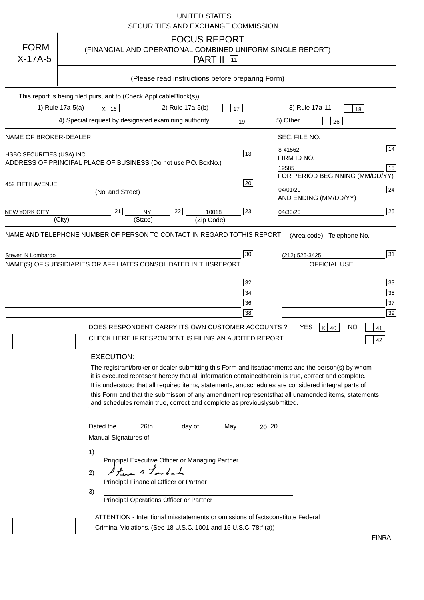|                            | <b>UNITED STATES</b><br>SECURITIES AND EXCHANGE COMMISSION                                                                                                                                                                                                                                                                                                                                                                                                                                                                                                                |                                       |                                                                                                                                                                                     |                                  |
|----------------------------|---------------------------------------------------------------------------------------------------------------------------------------------------------------------------------------------------------------------------------------------------------------------------------------------------------------------------------------------------------------------------------------------------------------------------------------------------------------------------------------------------------------------------------------------------------------------------|---------------------------------------|-------------------------------------------------------------------------------------------------------------------------------------------------------------------------------------|----------------------------------|
| <b>FORM</b><br>$X-17A-5$   | <b>FOCUS REPORT</b><br>(FINANCIAL AND OPERATIONAL COMBINED UNIFORM SINGLE REPORT)<br><b>PART II</b> 11                                                                                                                                                                                                                                                                                                                                                                                                                                                                    |                                       |                                                                                                                                                                                     |                                  |
|                            | (Please read instructions before preparing Form)                                                                                                                                                                                                                                                                                                                                                                                                                                                                                                                          |                                       |                                                                                                                                                                                     |                                  |
|                            | This report is being filed pursuant to (Check Applicable<br>$Block(s)$ :<br>1) Rule 17a-5(a)<br>2) Rule 17a-5(b)<br>$X$ 16<br>4) Special request by designated examining authority                                                                                                                                                                                                                                                                                                                                                                                        | 17<br>19                              | 3) Rule 17a-11<br>18<br>5) Other<br>26                                                                                                                                              |                                  |
| NAME OF BROKER-DEALER      |                                                                                                                                                                                                                                                                                                                                                                                                                                                                                                                                                                           |                                       | SEC. FILE NO.                                                                                                                                                                       |                                  |
| HSBC SECURITIES (USA) INC. | ADDRESS OF PRINCIPAL PLACE OF BUSINESS (Do not use P.O. Box                                                                                                                                                                                                                                                                                                                                                                                                                                                                                                               | 13<br>No.)                            | 8-41562<br>FIRM ID NO.<br>19585<br>FOR PERIOD BEGINNING (MM/DD/YY)                                                                                                                  | 14<br>15                         |
| <b>452 FIFTH AVENUE</b>    | (No. and Street)                                                                                                                                                                                                                                                                                                                                                                                                                                                                                                                                                          | 20                                    | 04/01/20<br>AND ENDING (MM/DD/YY)                                                                                                                                                   | 24                               |
| <b>NEW YORK CITY</b>       | 21<br>22<br><b>NY</b><br>10018<br>(State)<br>(City)<br>(Zip Code)                                                                                                                                                                                                                                                                                                                                                                                                                                                                                                         | 23                                    | 04/30/20                                                                                                                                                                            | 25                               |
|                            | NAME(S) OF SUBSIDIARIES OR AFFILIATES CONSOLIDATED IN THIS<br>DOES RESPONDENT CARRY ITS OWN CUSTOMER ACCOUNTS?<br>CHECK HERE IF RESPONDENT IS FILING AN AUDITED REPORT<br><b>EXECUTION:</b>                                                                                                                                                                                                                                                                                                                                                                               | <b>REPORT</b><br>32<br>34<br>36<br>38 | <b>OFFICIAL USE</b><br><b>YES</b><br><b>NO</b><br>$X$ 40                                                                                                                            | 33<br>35<br>37<br>39<br>41<br>42 |
|                            | The registrant/broker or dealer submitting this Form and its<br>it is executed represent hereby that all information contained<br>It is understood that all required items, statements, and<br>this Form and that the submisson of any amendment represents<br>and schedules remain true, correct and complete as previously<br>Dated the<br>26th<br>day of<br>Manual Signatures of:<br>1)<br>Principal Executive Officer or Managing Partner<br>$1 \mathbb{Z}_{\sigma}$<br>2)<br>Principal Financial Officer or Partner<br>3)<br>Principal Operations Officer or Partner | May<br>$20 \frac{20}{2}$              | attachments and the person(s) by whom<br>therein is true, correct and complete.<br>schedules are considered integral parts of<br>that all unamended items, statements<br>submitted. |                                  |
|                            | ATTENTION - Intentional misstatements or omissions of facts<br>Criminal Violations. (See 18 U.S.C. 1001 and 15 U.S.C. 78:f (a)                                                                                                                                                                                                                                                                                                                                                                                                                                            |                                       | constitute Federal                                                                                                                                                                  | <b>FINRA</b>                     |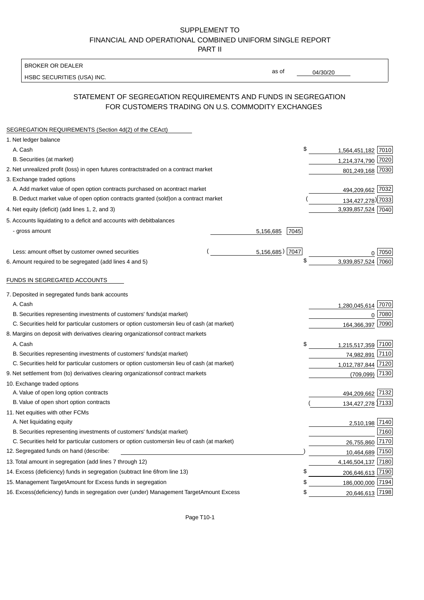### BROKER OR DEALER

HSBC SECURITIES (USA) INC.

04/30/20

as of

# STATEMENT OF SEGREGATION REQUIREMENTS AND FUNDS IN SEGREGATION FOR CUSTOMERS TRADING ON U.S. COMMODITY EXCHANGES

| SEGREGATION REQUIREMENTS (Section 4d(2) of the CEAct)                                          |      |                       |  |
|------------------------------------------------------------------------------------------------|------|-----------------------|--|
| 1. Net ledger balance                                                                          |      |                       |  |
| A. Cash                                                                                        | \$   | 1,564,451,182 7010    |  |
| B. Securities (at market)                                                                      |      | 1,214,374,790 7020    |  |
| 2. Net unrealized profit (loss) in open futures contracts<br>traded on a contract market       |      | 801,249,168 7030      |  |
| 3. Exchange traded options                                                                     |      |                       |  |
| A. Add market value of open option contracts purchased on a<br>contract market                 |      | 494,209,662 7032      |  |
| B. Deduct market value of open option contracts granted (sold)<br>on a contract market         |      | 134,427,278) 7033     |  |
| 4. Net equity (deficit) (add lines 1, 2, and 3)                                                |      | 3,939,857,524 7040    |  |
| 5. Accounts liquidating to a deficit and accounts with debit<br>balances                       |      |                       |  |
| - gross amount<br>5,156,685                                                                    | 7045 |                       |  |
| 5,156,685) 7047<br>Less: amount offset by customer owned securities                            |      | 0 7050                |  |
| 6. Amount required to be segregated (add lines 4 and 5)                                        |      | 3,939,857,524<br>7060 |  |
| FUNDS IN SEGREGATED ACCOUNTS                                                                   |      |                       |  |
| 7. Deposited in segregated funds bank accounts                                                 |      |                       |  |
| A. Cash                                                                                        |      | 7070<br>1,280,045,614 |  |
| B. Securities representing investments of customers' funds<br>(at market)                      |      | 7080<br>0             |  |
| C. Securities held for particular customers or option customers<br>in lieu of cash (at market) |      | 164,366,397 7090      |  |
| 8. Margins on deposit with derivatives clearing organizations<br>of contract markets           |      |                       |  |
| A. Cash                                                                                        | \$   | 1,215,517,359 7100    |  |
| B. Securities representing investments of customers' funds<br>(at market)                      |      | 7110<br>74,982,891    |  |
| C. Securities held for particular customers or option customers<br>in lieu of cash (at market) |      | 1,012,787,844 7120    |  |
| 9. Net settlement from (to) derivatives clearing organizations<br>of contract markets          |      | 7130<br>(709, 099)    |  |
| 10. Exchange traded options                                                                    |      |                       |  |
| A. Value of open long option contracts                                                         |      | 494,209,662 7132      |  |
| B. Value of open short option contracts                                                        |      | 134,427,278 7133      |  |
| 11. Net equities with other FCMs                                                               |      |                       |  |
| A. Net liquidating equity                                                                      |      | 2,510,198 7140        |  |
| B. Securities representing investments of customers' funds<br>(at market)                      |      | 7160                  |  |
| C. Securities held for particular customers or option customers<br>in lieu of cash (at market) |      | 26,755,860 7170       |  |
| 12. Segregated funds on hand (describe:                                                        |      | 10,464,689 7150       |  |
| 13. Total amount in segregation (add lines 7 through 12)                                       |      | 4,146,504,137 7180    |  |
| 14. Excess (deficiency) funds in segregation (subtract line 6<br>from line 13)                 | \$   | 206,646,613 7190      |  |
| 15. Management Target Amount for Excess funds in segregation                                   | \$   | 186,000,000 7194      |  |
| 16. Excess (deficiency) funds in segregation over (under) Management Target Amount Excess      | \$   | 20,646,613 7198       |  |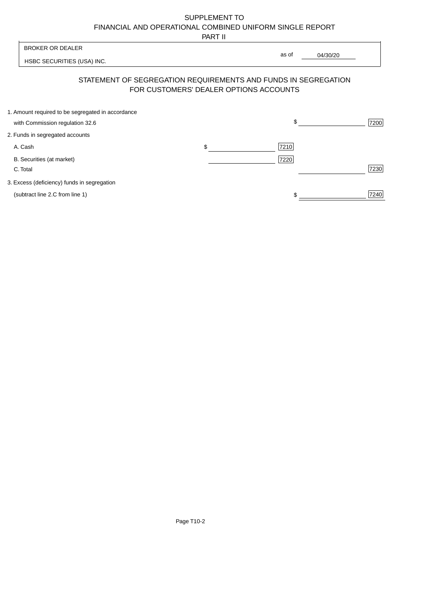PART II

|                                                   | .                                      |                                                                |      |
|---------------------------------------------------|----------------------------------------|----------------------------------------------------------------|------|
| <b>BROKER OR DEALER</b>                           |                                        |                                                                |      |
| HSBC SECURITIES (USA) INC.                        |                                        | as of<br>04/30/20                                              |      |
|                                                   | FOR CUSTOMERS' DEALER OPTIONS ACCOUNTS | STATEMENT OF SEGREGATION REQUIREMENTS AND FUNDS IN SEGREGATION |      |
| 1. Amount required to be segregated in accordance |                                        |                                                                |      |
| with Commission regulation 32.6                   |                                        | \$                                                             | 7200 |
| 2. Funds in segregated accounts                   |                                        |                                                                |      |
| A. Cash                                           | \$                                     | 7210                                                           |      |
| B. Securities (at market)                         |                                        | 7220                                                           |      |
| C. Total                                          |                                        |                                                                | 7230 |
| 3. Excess (deficiency) funds in segregation       |                                        |                                                                |      |
| (subtract line 2.C from line 1)                   |                                        |                                                                | 7240 |
|                                                   |                                        |                                                                |      |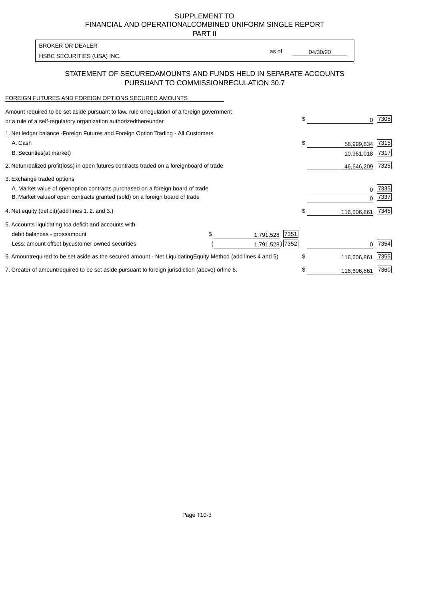PART II

HSBC SECURITIES (USA) INC. The state of the second second second second second second second second second second second second second second second second second second second second second second second second second sec BROKER OR DEALER

as of

## STATEMENT OF SECURED AMOUNTS AND FUNDS HELD IN SEPARATE ACCOUNTS PURSUANT TO COMMISSION REGULATION 30.7

#### FOREIGN FUTURES AND FOREIGN OPTIONS SECURED AMOUNTS

| regulation of a foreign government<br>Amount required to be set aside pursuant to law, rule or<br>or a rule of a self-regulatory organization authorized<br>thereunder                       | \$                             | 7305         |
|----------------------------------------------------------------------------------------------------------------------------------------------------------------------------------------------|--------------------------------|--------------|
| 1. Net ledger balance - Foreign Futures and Foreign Option Trading - All Customers<br>A. Cash<br><b>B.</b> Securities<br>(at market)                                                         | \$<br>58,999,634<br>10,961,018 | 7315<br>7317 |
| unrealized profit (loss) in open futures contracts traded on a foreign<br>2. Net<br>board of trade                                                                                           | 46,646,209                     | 7325         |
| 3. Exchange traded options<br>A. Market value of open option contracts purchased on a foreign board of trade<br>B. Market value of open contracts granted (sold) on a foreign board of trade | $\Omega$                       | 7335<br>7337 |
| (add lines 1.2. and 3.)<br>4. Net equity (deficit)                                                                                                                                           | \$<br>116,606,861              | 7345         |
| 5. Accounts liquidating to<br>a deficit and accounts with<br>7351<br>debit balances - gross<br>amount<br>1,791,528<br>1,791,528) 7352<br>Less: amount offset by<br>customer owned securities |                                | 7354         |
| required to be set aside as the secured amount - Net Liquidating<br>Equity Method (add lines 4 and 5)<br>6. Amount                                                                           | \$<br>116,606,861              | 7355         |
| 7. Greater of amount required to be set aside pursuant to foreign jurisdiction (above) or line 6.                                                                                            | 116,606,861                    | 7360         |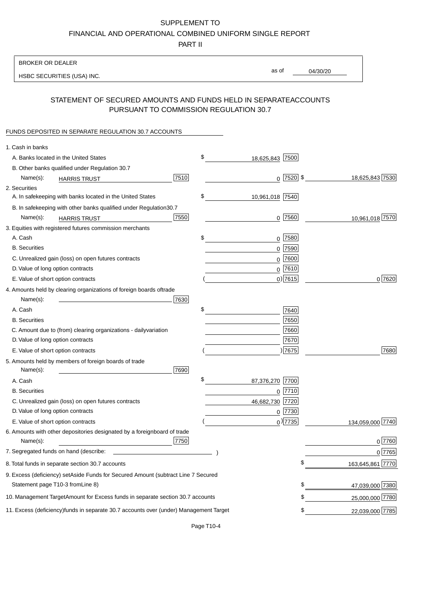PART II

| <b>BROKER OR DEALER</b>                                                                          |                       |             |                 |                  |
|--------------------------------------------------------------------------------------------------|-----------------------|-------------|-----------------|------------------|
| HSBC SECURITIES (USA) INC.                                                                       | as of                 |             | 04/30/20        |                  |
| STATEMENT OF SECURED AMOUNTS AND FUNDS HELD IN SEPARATE                                          |                       |             | <b>ACCOUNTS</b> |                  |
| PURSUANT TO COMMISSION REGULATION 30.7                                                           |                       |             |                 |                  |
| FUNDS DEPOSITED IN SEPARATE REGULATION 30.7 ACCOUNTS                                             |                       |             |                 |                  |
| 1. Cash in banks                                                                                 |                       |             |                 |                  |
| A. Banks located in the United States                                                            | \$<br>18,625,843 7500 |             |                 |                  |
| B. Other banks qualified under Regulation 30.7                                                   |                       |             |                 |                  |
| 7510<br>Name(s):<br><b>HARRIS TRUST</b>                                                          |                       | $0$ 7520 \$ |                 | 18,625,843 7530  |
| 2. Securities                                                                                    |                       |             |                 |                  |
| A. In safekeeping with banks located in the United States                                        | \$<br>10,961,018 7540 |             |                 |                  |
| B. In safekeeping with other banks qualified under Regulation<br>30.7                            |                       |             |                 |                  |
| 7550<br>Name(s):<br><b>HARRIS TRUST</b>                                                          |                       | 0 7560      |                 | 10,961,018 7570  |
| 3. Equities with registered futures commission merchants                                         |                       |             |                 |                  |
| A. Cash                                                                                          | \$                    | $0$ 7580    |                 |                  |
| <b>B.</b> Securities                                                                             |                       | $0$ 7590    |                 |                  |
| C. Unrealized gain (loss) on open futures contracts                                              |                       | $0$ 7600    |                 |                  |
| D. Value of long option contracts                                                                |                       | $0$ 7610    |                 |                  |
| E. Value of short option contracts                                                               |                       | $0)$ 7615   |                 | 0 7620           |
| 4. Amounts held by clearing organizations of foreign boards of<br>trade                          |                       |             |                 |                  |
| Name(s):<br>7630                                                                                 |                       |             |                 |                  |
| A. Cash                                                                                          | \$                    | 7640        |                 |                  |
| <b>B.</b> Securities                                                                             |                       | 7650        |                 |                  |
| C. Amount due to (from) clearing organizations - daily<br>variation                              |                       | 7660        |                 |                  |
| D. Value of long option contracts                                                                |                       | 7670        |                 |                  |
| E. Value of short option contracts                                                               |                       | ) 7675      |                 | 7680             |
| 5. Amounts held by members of foreign boards of trade<br>Name(s):<br>7690                        |                       |             |                 |                  |
| A. Cash                                                                                          | \$<br>87,376,270 7700 |             |                 |                  |
| <b>B.</b> Securities                                                                             |                       | 0 7710      |                 |                  |
| C. Unrealized gain (loss) on open futures contracts                                              | 46,682,730 7720       |             |                 |                  |
| D. Value of long option contracts                                                                |                       | 0 7730      |                 |                  |
| E. Value of short option contracts                                                               |                       | $0$ ) 7735  |                 | 134,059,000 7740 |
| 6. Amounts with other depositories designated by a foreign<br>board of trade<br>7750<br>Name(s): |                       |             |                 | 0 7760           |
| 7. Segregated funds on hand (describe:                                                           |                       |             |                 | $0$ 7765         |
| 8. Total funds in separate section 30.7 accounts                                                 |                       | \$          |                 | 163,645,861 7770 |
| 9. Excess (deficiency) set Aside Funds for Secured Amount (subtract Line 7 Secured               |                       |             |                 |                  |
| Statement page T10-3 from Line 8)                                                                |                       | \$          |                 | 47,039,000 7380  |
| 10. Management Target Amount for Excess funds in separate section 30.7 accounts                  |                       | \$          |                 | 25,000,000 7780  |
| 11. Excess (deficiency) funds in separate 30.7 accounts over (under) Management Target           |                       | \$          |                 | 22,039,000 7785  |
|                                                                                                  |                       |             |                 |                  |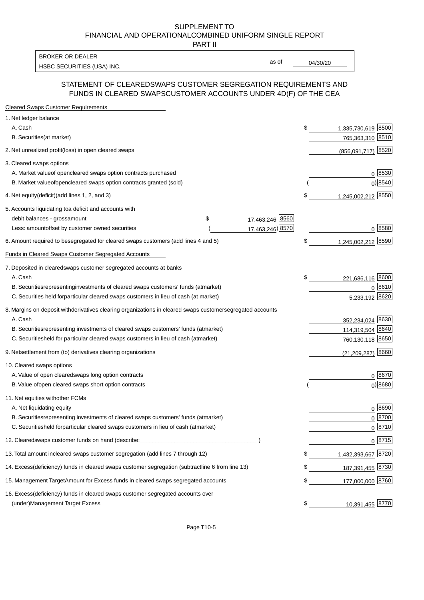PART II

HSBC SECURITIES (USA) INC. The contract of the contract of the contract of the contract of the contract of the contract of the contract of the contract of the contract of the contract of the contract of the contract of the BROKER OR DEALER

as of

### STATEMENT OF CLEARED SWAPS CUSTOMER SEGREGATION REQUIREMENTS AND FUNDS IN CLEARED SWAPS CUSTOMER ACCOUNTS UNDER 4D(F) OF THE CEA

| <b>Cleared Swaps Customer Requirements</b>                                                                  |    |                        |
|-------------------------------------------------------------------------------------------------------------|----|------------------------|
| 1. Net ledger balance                                                                                       |    |                        |
| A. Cash                                                                                                     | \$ | 1,335,730,619 8500     |
| B. Securities (at market)                                                                                   |    | 765,363,310 8510       |
| 2. Net unrealized profit (loss) in open cleared swaps                                                       |    | 8520<br>(856,091,717)  |
| 3. Cleared swaps options                                                                                    |    |                        |
| A. Market value of open cleared swaps option contracts purchased                                            |    | $0^{8530}$             |
| B. Market value of open cleared swaps option contracts granted (sold)                                       |    | $0)$ 8540              |
| 4. Net equity (deficit) (add lines 1, 2, and 3)                                                             | \$ | 1,245,002,212 8550     |
| 5. Accounts liquidating to a deficit and accounts with                                                      |    |                        |
| 17,463,246 8560<br>debit balances - gross<br>\$<br>amount                                                   |    |                        |
| 17,463,246) 8570<br>Less: amount offset by customer owned securities                                        |    | 0 8580                 |
| 6. Amount required to be segregated for cleared swaps customers (add lines 4 and 5)                         | \$ | 1,245,002,212 8590     |
| Funds in Cleared Swaps Customer Segregated Accounts                                                         |    |                        |
| 7. Deposited in cleared swaps customer segregated accounts at banks                                         |    |                        |
| A. Cash                                                                                                     | \$ | 221,686,116 8600       |
| B. Securities representing investments of cleared swaps customers' funds (at market)                        |    | $0^{8610}$             |
| C. Securities held for particular cleared swaps customers in lieu of cash (at market)                       |    | 5,233,192 8620         |
| 8. Margins on deposit with derivatives clearing organizations in cleared swaps customer segregated accounts |    |                        |
| A. Cash                                                                                                     |    | 352,234,024 8630       |
| representing investments of cleared swaps customers' funds (at market)<br><b>B.</b> Securities              |    | 114,319,504 8640       |
| C. Securities held for particular cleared swaps customers in lieu of cash (at market)                       |    | 760,130,118 8650       |
| 9. Net settlement from (to) derivatives clearing organizations                                              |    | 8660<br>(21, 209, 287) |
| 10. Cleared swaps options                                                                                   |    |                        |
| A. Value of open cleared swaps long option contracts                                                        |    | $0^{8670}$             |
| B. Value of open cleared swaps short option contracts                                                       |    | $0$ ) 8680             |
| 11. Net equities with other FCMs                                                                            |    |                        |
| A. Net liquidating equity                                                                                   |    | $0^{8690}$             |
| B. Securities representing investments of cleared swaps customers' funds (at market)                        |    | $0^{8700}$             |
| C. Securities held for particular cleared swaps customers in lieu of cash (at market)                       |    | 0 8710                 |
| 12. Cleared swaps customer funds on hand (describe:                                                         |    | $0 \;  8715 $          |
| 13. Total amount in cleared swaps customer segregation (add lines 7 through 12)                             | S  | 1,432,393,667 8720     |
| 14. Excess (deficiency) funds in cleared swaps customer segregation (subtract line 6 from line 13)          |    | 187,391,455 8730       |
| 15. Management Target Amount for Excess funds in cleared swaps segregated accounts                          | \$ | 177,000,000 8760       |
| 16. Excess<br>(deficiency) funds in cleared swaps customer segregated accounts over                         |    |                        |
| <b>Management Target Excess</b><br>(under)                                                                  | \$ | 10,391,455 8770        |